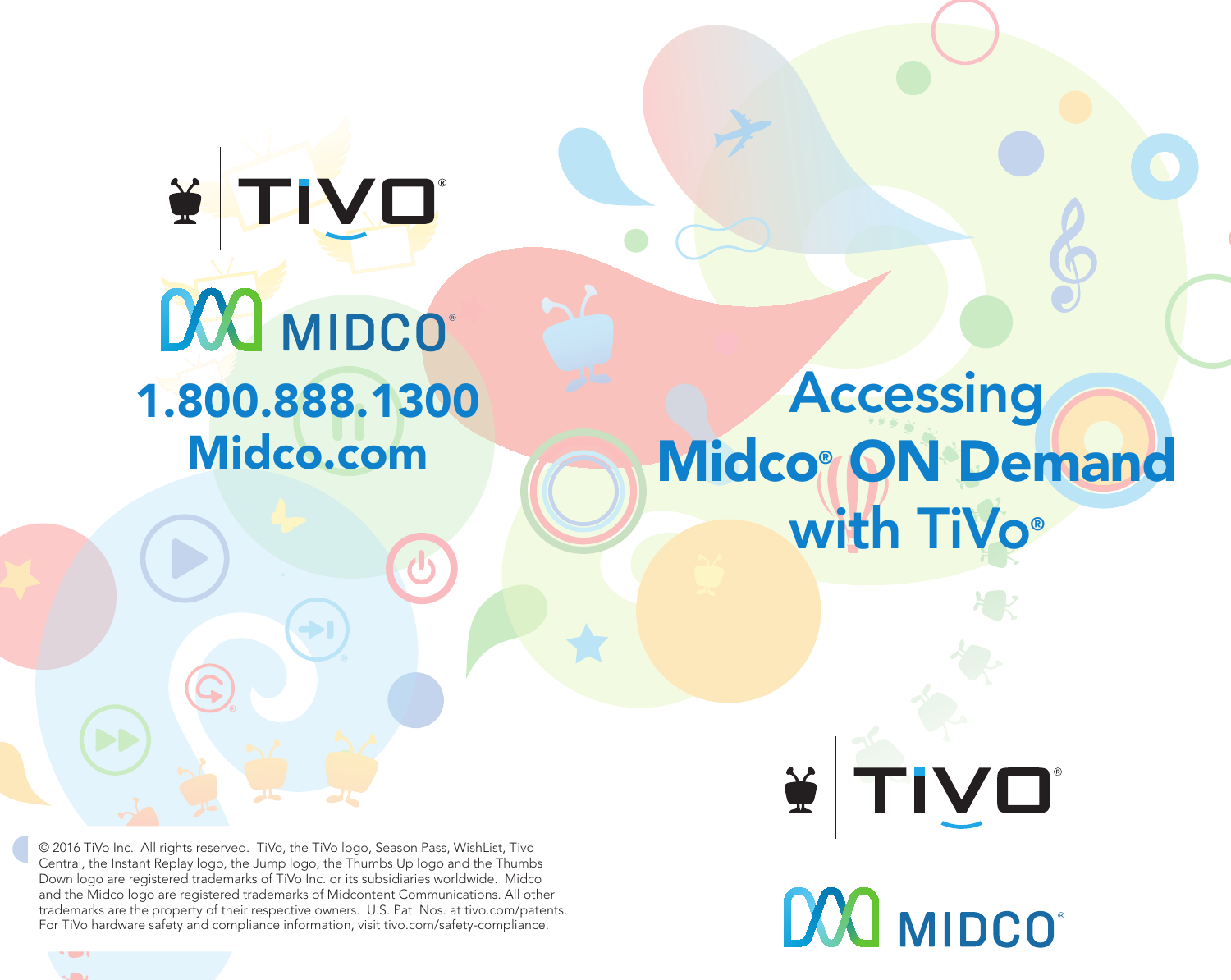# Y TIVO DOO MIDCO 1.800.888.1300 Midco.com

# Accessing Midco<sup>®</sup> ON Demand with TiVo®

© 2016 TiVo Inc. All rights reserved. TiVo, the TiVo logo, Season Pass, WishList, Tivo Central, the Instant Replay logo, the Jump logo, the Thumbs Up logo and the Thumbs Down logo are registered trademarks of TiVo Inc. or its subsidiaries worldwide. Midco and the Midco logo are registered trademarks of Midcontent Communications. All other trademarks are the property of their respective owners. U.S. Pat. Nos. at tivo.com/patents. For TiVo hardware safety and compliance information, visit tivo.com/safety-compliance.

TIVO  $\frac{1}{2}$ 

DOO MIDCO®